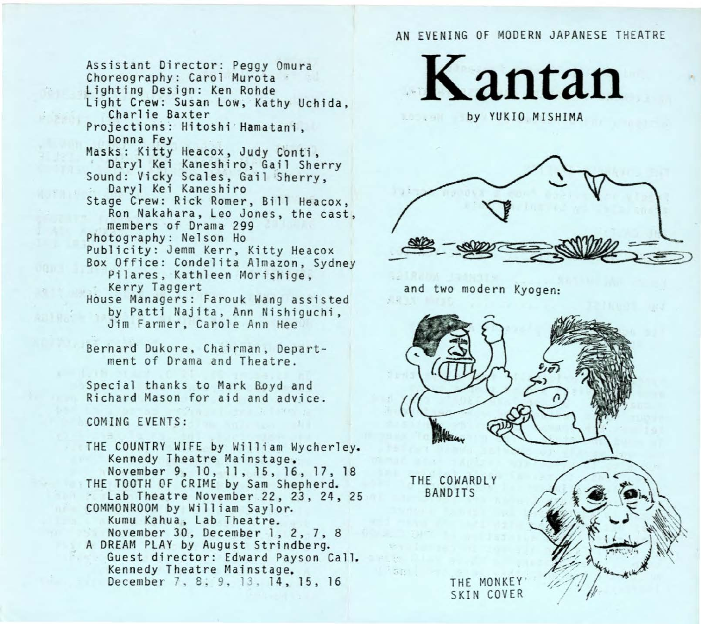AN EVENING OF MODERN JAPANESE THEATRE

Assistant Director: Peggy Omura Choreography: Carol Murota<br>Lighting Design: Ken Rohde Light Crew: Susan Low, Kathy Uchida, Charlie Baxter Projections: Hitoshi Hamatani, Donna Fey Masks: Kitty Heacox, Judy Conti, Daryl Kei Kaneshiro, Gail Sherry Sound: Vicky Scales, Gail Sherry,<br>Daryl Kei Kaneshiro<br>Stage Crew: Rick Romer, Bill Heacox, Ron Nakahara, Leo Jones, the cast, members of Drama 299 Photography: Nelson Ho Publicity: Jemm Kerr, Kitty Heacox Box Office: Condelita Almazon, Sydney<br>Pilares, Kathleen Morishige,<br>- Kerry Taggert House Managers: Farouk Wang assisted by Patti Najita, Ann Nishiguchi, Jim Farmer, Ca role Ann Hee

Bern ard Dukore, Chairman, Department of Drama and Theatre .

Special thanks to Mark Boyd and Richard Mason for aid and advice.

COMING EVENTS:

THE COUNTRY WIFE by William Wycherley.<br>Kennedy Theatre Mainstage.<br>November 9, 10, 11, 15, 16, 17, 18 THE TOOTH OF CRIME by Sam Shepherd.<br>- Lab Theatre November 22, 23, 24, 25 COMMONROOM by William Saylor. Kumu Kahua, Lab Theatre. November 30, December 1, 2, 7, 8 A DREAM PLAY by August Strindberg. Guest director: Edward Payson Call.<br>Kennedy Theatre Mainstage.<br>December 7, 8, 9, 13, 14, 15, 16





and two modern Kyogen:

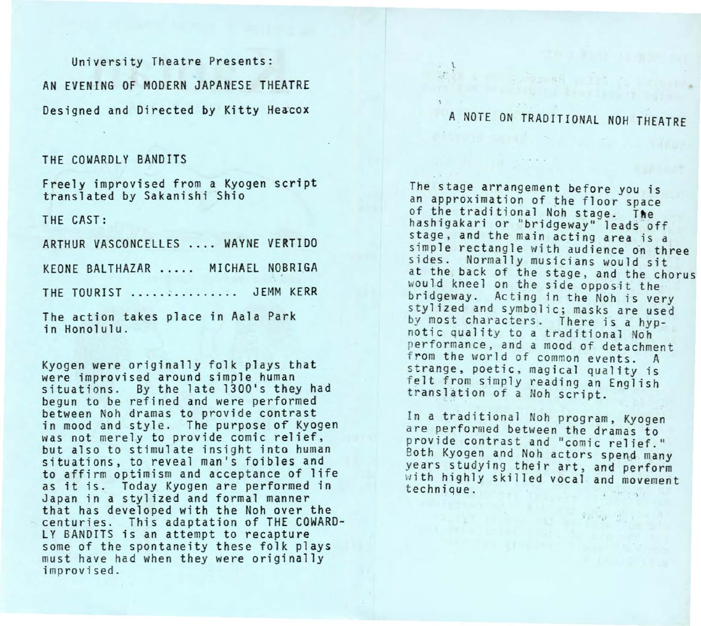University Theatre Presents: AN EVENING OF MODERN JAPANESE THEATRE Designed and Directed by Kitty Heacox

## THE COWARDLY BANDITS

Freely improv is ed from a Kyogen script translated by Sakanishi Shio

THE CAST:

ARTHUR VASCONCELLES . ... WAYNE VERTIDO KEONE BALTHAZAR ..... MICHAEL NOBRIGA THE TOURIST ............... JEMM KERR The action takes place in Aala Park

in Honolulu.

Kyogen were originally folk plays that were improvised around simple human situations. By the late 1300's they had begun to be refined and were performed between Noh dramas to provide contrast in mood and style. The purpose of Kyogen was not merely to provide comic relief, but also to stimulate insight into human situations, to reveal man's foibles and to affirm optimism and acceptance of l1fe as it is. Today Kyogen are performed in Japan in a stylized and formal manner that has developed with the Noh over the centuries. This adaptation of THE COWARD-LY BANDITS is an attempt to recapture some of the spontaneity these folk plays must have had when they were originally improvised.

## A NOTE ON TRADITIONAL NOH THEATRE

The stage arrangement before you is an approximation of the floor space<br>of the traditional Noh stage. The hashigakari or "bridgeway" leads off stage, and the main acting area is a simple rectangle with audience on three sides. Normally musicians would sit at the back of the stage, and the chorus would kneel on the side opposit the bri dgeway. Acting in the Noh is very stylized and symbolic; masks are used by most characters. There is a hypno tic quality to a traditional Noh performance, and a mood of detachment from the world of common events. A strange, poetic, magical quality is felt from simply reading an English translation of a Noh script.

In a traditional Noh program, Kyogen a re performed between the dramas to provide contrast and "comic relief."<br>Both Kyogen and Noh actors spend many years studying their art, and perform with highly skilled vocal and movement t echnique.

, ... The special control